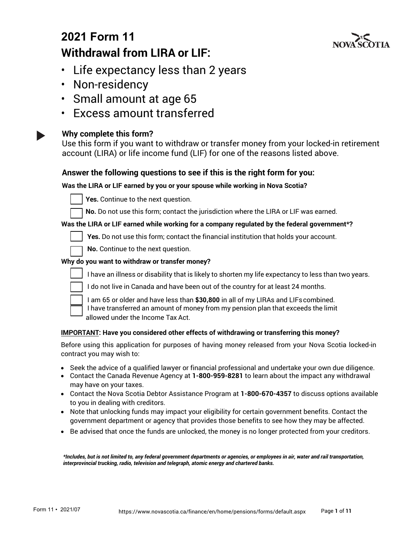# **2021 Form 11 Withdrawal from LIRA or LIF:**



- Life expectancy less than 2 years
- Non-residency
- Small amount at age 65
- Excess amount transferred

### **Why complete this form?**

Use this form if you want to withdraw or transfer money from your locked-in retirement account (LIRA) or life income fund (LIF) for one of the reasons listed above.

### **Answer the following questions to see if this is the right form for you:**

### **Was the LIRA or LIF earned by you or your spouse while working in Nova Scotia?**



Yes. Continue to the next question.

No. Do not use this form; contact the jurisdiction where the LIRA or LIF was earned.

#### **Was the LIRA or LIF earned while working for a company regulated by the federal government\*?**

Yes. Do not use this form; contact the financial institution that holds your account.

No. Continue to the next question.

#### **Why do you want to withdraw or transfer money?**



I have an illness or disability that is likely to shorten my life expectancy to less than two years.

I do not live in Canada and have been out of the country for at least 24 months.



☐ I am 65 or older and have less than **\$30,800** in all of my LIRAs and LIFscombined. I have transferred an amount of money from my pension plan that exceeds the limit allowed under the Income Tax Act.

#### **IMPORTANT: Have you considered other effects of withdrawing or transferring this money?**

Before using this application for purposes of having money released from your Nova Scotia locked-in contract you may wish to:

- Seek the advice of a qualified lawyer or financial professional and undertake your own due diligence.
- Contact the Canada Revenue Agency at **1-800-959-8281** to learn about the impact any withdrawal may have on your taxes.
- Contact the Nova Scotia Debtor Assistance Program at **1-800-670-4357** to discuss options available to you in dealing with creditors.
- Note that unlocking funds may impact your eligibility for certain government benefits. Contact the government department or agency that provides those benefits to see how they may be affected.
- Be advised that once the funds are unlocked, the money is no longer protected from your creditors.

*\*Includes, but is not limited to, any federal government departments or agencies, or employees in air, water and rail transportation, interprovincial trucking, radio, television and telegraph, atomic energy and chartered banks.*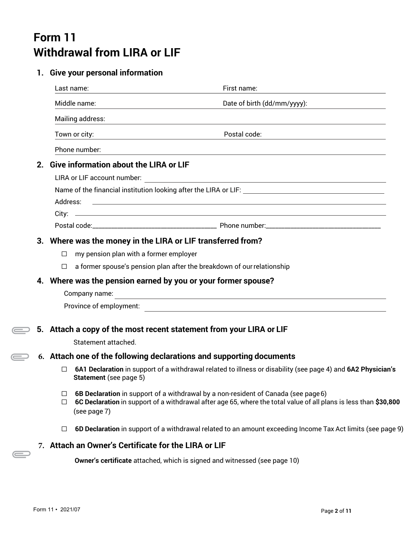# **Form 11 Withdrawal from LIRA or LIF**

### **1. Give your personal information**

|    |                                                               | Last name:                                           | First name:                                                                                                                                                                                            |  |  |  |
|----|---------------------------------------------------------------|------------------------------------------------------|--------------------------------------------------------------------------------------------------------------------------------------------------------------------------------------------------------|--|--|--|
|    |                                                               | Middle name:                                         | Date of birth (dd/mm/yyyy):                                                                                                                                                                            |  |  |  |
|    |                                                               | Mailing address:                                     | <u> 1989 - John Stein, amerikansk politiker (* 1989)</u>                                                                                                                                               |  |  |  |
|    |                                                               | Town or city:                                        | Postal code:                                                                                                                                                                                           |  |  |  |
|    |                                                               | Phone number:                                        |                                                                                                                                                                                                        |  |  |  |
| 2. |                                                               | <b>Give information about the LIRA or LIF</b>        |                                                                                                                                                                                                        |  |  |  |
|    |                                                               | LIRA or LIF account number:                          |                                                                                                                                                                                                        |  |  |  |
|    |                                                               |                                                      |                                                                                                                                                                                                        |  |  |  |
|    | Address:                                                      |                                                      | <u> 1989 - Andrea Station, amerikansk politiker (d. 1989)</u>                                                                                                                                          |  |  |  |
|    |                                                               |                                                      |                                                                                                                                                                                                        |  |  |  |
|    |                                                               |                                                      |                                                                                                                                                                                                        |  |  |  |
|    |                                                               |                                                      | 3. Where was the money in the LIRA or LIF transferred from?                                                                                                                                            |  |  |  |
|    | $\Box$                                                        | my pension plan with a former employer               |                                                                                                                                                                                                        |  |  |  |
|    | $\Box$                                                        |                                                      | a former spouse's pension plan after the breakdown of our relationship                                                                                                                                 |  |  |  |
|    | 4. Where was the pension earned by you or your former spouse? |                                                      |                                                                                                                                                                                                        |  |  |  |
|    |                                                               | Company name:                                        | <u> 1989 - Andrea Santa Andrea Santa Andrea Santa Andrea Santa Andrea Santa Andrea Santa Andrea Santa Andrea San</u>                                                                                   |  |  |  |
|    |                                                               | Province of employment:                              | <u> 1989 - Johann Stein, mars an de Britannich (b. 1989)</u>                                                                                                                                           |  |  |  |
|    |                                                               |                                                      |                                                                                                                                                                                                        |  |  |  |
|    |                                                               |                                                      | 5. Attach a copy of the most recent statement from your LIRA or LIF                                                                                                                                    |  |  |  |
|    |                                                               | Statement attached.                                  |                                                                                                                                                                                                        |  |  |  |
|    |                                                               |                                                      | 6. Attach one of the following declarations and supporting documents                                                                                                                                   |  |  |  |
|    | □                                                             | Statement (see page 5)                               | 6A1 Declaration in support of a withdrawal related to illness or disability (see page 4) and 6A2 Physician's                                                                                           |  |  |  |
|    | ⊔<br>$\Box$                                                   | (see page 7)                                         | 6B Declaration in support of a withdrawal by a non-resident of Canada (see page 6)<br>6C Declaration in support of a withdrawal after age 65, where the total value of all plans is less than \$30,800 |  |  |  |
|    | □                                                             |                                                      | 6D Declaration in support of a withdrawal related to an amount exceeding Income Tax Act limits (see page 9)                                                                                            |  |  |  |
|    |                                                               | 7. Attach an Owner's Certificate for the LIRA or LIF |                                                                                                                                                                                                        |  |  |  |

**Owner's certificate** attached, which is signed and witnessed (see page 10)

 $\bigoplus$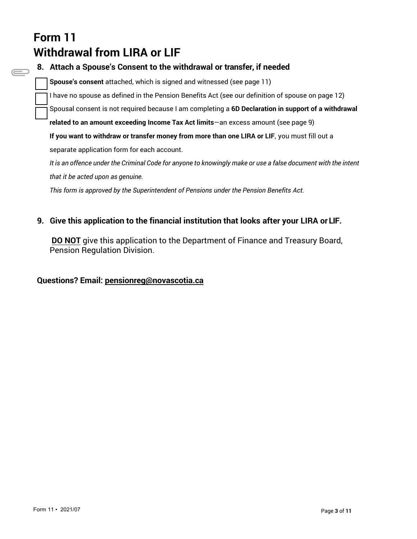# **Form 11 Withdrawal from LIRA or LIF**

**8. Attach a Spouse's Consent to the withdrawal or transfer, if needed Spouse's consent** attached, which is signed and witnessed (see page 11) I have no spouse as defined in the Pension Benefits Act (see our definition of spouse on page 12) Spousal consent is not required because I am completing a **6D Declaration in support of a withdrawal related to an amount exceeding Income Tax Act limits**—an excess amount (see page 9) **If you want to withdraw or transfer money from more than one LIRA or LIF**, you must fill out a separate application form for each account. It is an offence under the Criminal Code for anyone to knowingly make or use a false document with the intent *that it be acted upon as genuine. This form is approved by the Superintendent of Pensions under the Pension Benefits Act.*

### **9. Give this application to the financial institution that looks after your LIRA or LIF.**

**DO NOT** give this application to the Department of Finance and Treasury Board, Pension Regulation Division.

### **Questions? Email: pensionreg@novascotia.ca**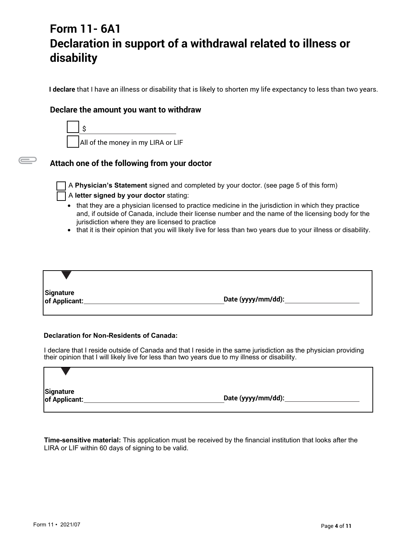# **Form 11- 6A1 Declaration in support of a withdrawal related to illness or disability**

**I declare** that I have an illness or disability that is likely to shorten my life expectancy to less than two years.

### **Declare the amount you want to withdraw**



### **Attach one of the following from your doctor**

 $\equiv$ 

☐ A **Physician's Statement** signed and completed by your doctor. (see page 5 of this form)

#### ☐ A **letter signed by your doctor** stating:

- that they are a physician licensed to practice medicine in the jurisdiction in which they practice and, if outside of Canada, include their license number and the name of the licensing body for the jurisdiction where they are licensed to practice
- that it is their opinion that you will likely live for less than two years due to your illness or disability.

**Signature of Applicant: Date (yyyy/mm/dd):**

#### **Declaration for Non-Residents of Canada:**

I declare that I reside outside of Canada and that I reside in the same jurisdiction as the physician providing their opinion that I will likely live for less than two years due to my illness or disability.

| Signature<br>of Applicant: | Date (yyyy/mm/dd): |  |
|----------------------------|--------------------|--|

**Time-sensitive material:** This application must be received by the financial institution that looks after the LIRA or LIF within 60 days of signing to be valid.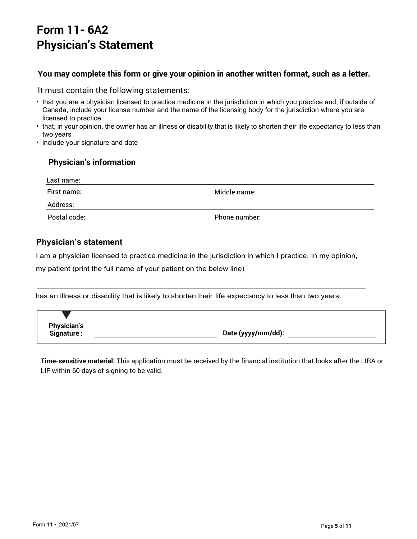# **Form 11- 6A2 Physician's Statement**

### **You may complete this form or give your opinion in another written format, such as a letter.**

#### It must contain the following statements:

- that you are a physician licensed to practice medicine in the jurisdiction in which you practice and, if outside of Canada, include your license number and the name of the licensing body for the jurisdiction where you are licensed to practice.
- that, in your opinion, the owner has an illness or disability that is likely to shorten their life expectancy to less than two years
- include your signature and date

### **Physician's information**

| Last name:   |               |
|--------------|---------------|
| First name:  | Middle name:  |
| Address:     |               |
| Postal code: | Phone number: |

### **Physician's statement**

I am a physician licensed to practice medicine in the jurisdiction in which I practice. In my opinion,

my patient (print the full name of your patient on the below line)

has an illness or disability that is likely to shorten their life expectancy to less than two years.

**Physician's**

**Signature : Date (yyyy/mm/dd):** 

**Time-sensitive material:** This application must be received by the financial institution that looks after the LIRA or LIF within 60 days of signing to be valid.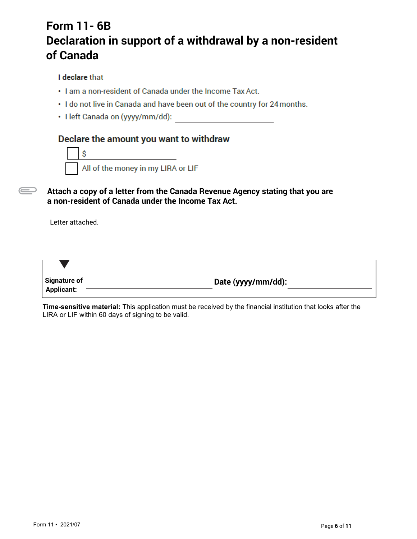# **Form 11- 6B Declaration in support of a withdrawal by a non-resident of Canada**

### I declare that

- . I am a non-resident of Canada under the Income Tax Act.
- . I do not live in Canada and have been out of the country for 24 months.
- · I left Canada on (yyyy/mm/dd):

## Declare the amount you want to withdraw



**Attach a copy of a letter from the Canada Revenue Agency stating that you are a non-resident of Canada under the Income Tax Act.** 

Letter attached.

 $\overline{\phantom{a}}$ 

| <b>Signature of</b><br><b>Applicant:</b> | Date (yyyy/mm/dd): |
|------------------------------------------|--------------------|

**Time-sensitive material:** This application must be received by the financial institution that looks after the LIRA or LIF within 60 days of signing to be valid.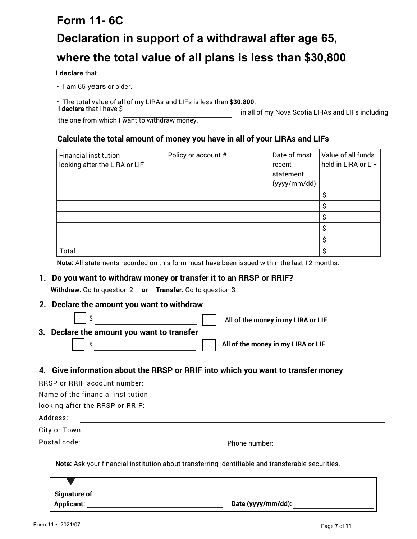# **Form 11- 6C Declaration in support of a withdrawal after age 65, where the total value of all plans is less than \$30,800**

**I declare** that

- I am 65 years or older.
- The total value of all of my LIRAs and LIFs is less than **\$30,800**.

in all of my Nova Scotia LIRAs and LIFs including

the one from which I want to withdraw money.

### **Calculate the total amount of money you have in all of your LIRAs and LIFs**

| <b>Financial institution</b><br>looking after the LIRA or LIF | Policy or account # | Date of most<br>recent | Value of all funds<br>held in LIRA or LIF |
|---------------------------------------------------------------|---------------------|------------------------|-------------------------------------------|
|                                                               |                     | statement              |                                           |
|                                                               |                     | (yyyy/mm/dd)           |                                           |
|                                                               |                     |                        | S                                         |
|                                                               |                     |                        | о                                         |
|                                                               |                     |                        | \$                                        |
|                                                               |                     |                        | S                                         |
|                                                               |                     |                        | S                                         |
| Total                                                         |                     |                        | S                                         |

**Note:** All statements recorded on this form must have been issued within the last 12 months.

### **1. Do you want to withdraw money or transfer it to an RRSP or RRIF?**

**Withdraw.** Go to question 2 **or Transfer.** Go to question 3

**2. Declare the amount you want to withdraw**

|                                            | All of the money in my LIRA or LIF |
|--------------------------------------------|------------------------------------|
| 3. Declare the amount you want to transfer |                                    |
|                                            | All of the money in my LIRA or LIF |

### **4. Give information about the RRSP or RRIF into which you want to transfermoney**

| Phone number: |
|---------------|
|               |

**Note:** Ask your financial institution about transferring identifiable and transferable securities.

| <b>Signature of</b> |                    |
|---------------------|--------------------|
| <b>Applicant:</b>   | Date (yyyy/mm/dd): |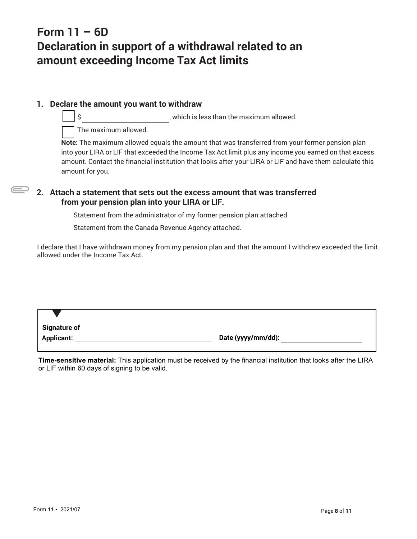# **Form 11 – 6D Declaration in support of a withdrawal related to an amount exceeding Income Tax Act limits**

### **1. Declare the amount you want to withdraw**

\$ , which is less than the maximum allowed.

The maximum allowed.

**Note:** The maximum allowed equals the amount that was transferred from your former pension plan into your LIRA or LIF that exceeded the Income Tax Act limit plus any income you earned on that excess amount. Contact the financial institution that looks after your LIRA or LIF and have them calculate this amount for you.

### **2. Attach a statement that sets out the excess amount that was transferred from your pension plan into your LIRA or LIF.**

Statement from the administrator of my former pension plan attached.

Statement from the Canada Revenue Agency attached.

I declare that I have withdrawn money from my pension plan and that the amount I withdrew exceeded the limit allowed under the Income Tax Act.

**Applicant: Date (yyyy/mm/dd):**

**Time-sensitive material:** This application must be received by the financial institution that looks after the LIRA or LIF within 60 days of signing to be valid.

**Signature of**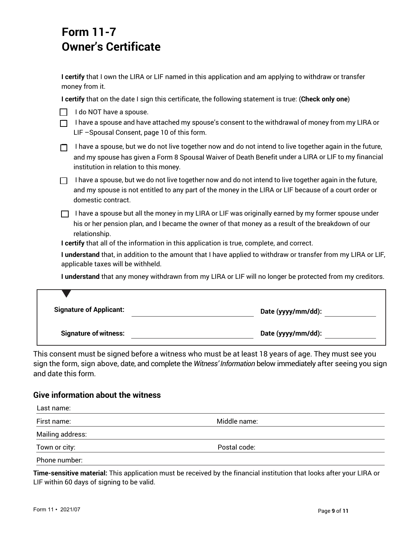# **Form 11-7 Owner's Certificate**

**I certify** that I own the LIRA or LIF named in this application and am applying to withdraw or transfer money from it.

**I certify** that on the date I sign this certificate, the following statement is true: (**Check only one**)

| I do NOT have a spouse. |
|-------------------------|
|                         |

 $\Box$  I have a spouse and have attached my spouse's consent to the withdrawal of money from my LIRA or LIF –Spousal Consent, page 10 of this form.

| I have a spouse, but we do not live together now and do not intend to live together again in the future, |
|----------------------------------------------------------------------------------------------------------|
| and my spouse has given a Form 8 Spousal Waiver of Death Benefit under a LIRA or LIF to my financial     |
| institution in relation to this money.                                                                   |

 $\Box$  I have a spouse, but we do not live together now and do not intend to live together again in the future, and my spouse is not entitled to any part of the money in the LIRA or LIF because of a court order or domestic contract.

 $\Box$  I have a spouse but all the money in my LIRA or LIF was originally earned by my former spouse under his or her pension plan, and I became the owner of that money as a result of the breakdown of our relationship.

**I certify** that all of the information in this application is true, complete, and correct.

**I understand** that, in addition to the amount that I have applied to withdraw or transfer from my LIRA or LIF, applicable taxes will be withheld.

**I understand** that any money withdrawn from my LIRA or LIF will no longer be protected from my creditors.

| <b>Signature of Applicant:</b> | Date (yyyy/mm/dd): |
|--------------------------------|--------------------|
| <b>Signature of witness:</b>   | Date (yyyy/mm/dd): |

This consent must be signed before a witness who must be at least 18 years of age. They must see you sign the form, sign above, date, and complete the *Witness' Information* below immediately after seeing you sign and date this form.

### **Give information about the witness**

| Last name:       |              |  |
|------------------|--------------|--|
| First name:      | Middle name: |  |
| Mailing address: |              |  |
| Town or city:    | Postal code: |  |
| Phone number:    |              |  |

**Time-sensitive material:** This application must be received by the financial institution that looks after your LIRA or LIF within 60 days of signing to be valid.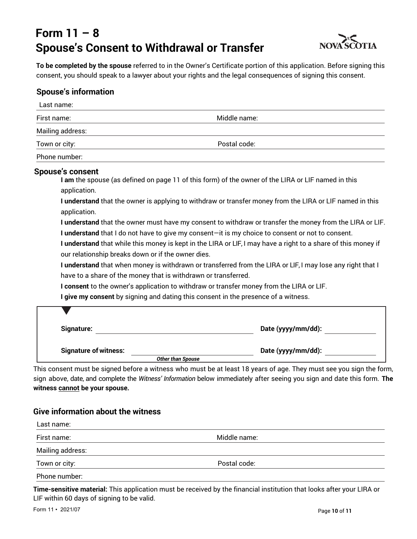# **Form 11 – 8 Spouse's Consent to Withdrawal or Transfer**



**To be completed by the spouse** referred to in the Owner's Certificate portion of this application. Before signing this consent, you should speak to a lawyer about your rights and the legal consequences of signing this consent.

### **Spouse's information**

| Last name:                                                                                             |                                                                                                                                                                                                                                                                                                                                                                                                                                                                                                                                                                                                                                                                                                                                                                                                                                                                                                                   |
|--------------------------------------------------------------------------------------------------------|-------------------------------------------------------------------------------------------------------------------------------------------------------------------------------------------------------------------------------------------------------------------------------------------------------------------------------------------------------------------------------------------------------------------------------------------------------------------------------------------------------------------------------------------------------------------------------------------------------------------------------------------------------------------------------------------------------------------------------------------------------------------------------------------------------------------------------------------------------------------------------------------------------------------|
| First name:                                                                                            | Middle name:                                                                                                                                                                                                                                                                                                                                                                                                                                                                                                                                                                                                                                                                                                                                                                                                                                                                                                      |
| Mailing address:                                                                                       |                                                                                                                                                                                                                                                                                                                                                                                                                                                                                                                                                                                                                                                                                                                                                                                                                                                                                                                   |
| Town or city:                                                                                          | Postal code:                                                                                                                                                                                                                                                                                                                                                                                                                                                                                                                                                                                                                                                                                                                                                                                                                                                                                                      |
| Phone number:                                                                                          |                                                                                                                                                                                                                                                                                                                                                                                                                                                                                                                                                                                                                                                                                                                                                                                                                                                                                                                   |
| Spouse's consent<br>application.<br>application.<br>our relationship breaks down or if the owner dies. | I am the spouse (as defined on page 11 of this form) of the owner of the LIRA or LIF named in this<br>I understand that the owner is applying to withdraw or transfer money from the LIRA or LIF named in this<br>I understand that the owner must have my consent to withdraw or transfer the money from the LIRA or LIF.<br>I understand that I do not have to give my consent-it is my choice to consent or not to consent.<br>I understand that while this money is kept in the LIRA or LIF, I may have a right to a share of this money if<br>I understand that when money is withdrawn or transferred from the LIRA or LIF, I may lose any right that I<br>have to a share of the money that is withdrawn or transferred.<br>I consent to the owner's application to withdraw or transfer money from the LIRA or LIF.<br>I give my consent by signing and dating this consent in the presence of a witness. |
| Signature:                                                                                             | Date (yyyy/mm/dd):                                                                                                                                                                                                                                                                                                                                                                                                                                                                                                                                                                                                                                                                                                                                                                                                                                                                                                |
| <b>Signature of witness:</b>                                                                           | Date (yyyy/mm/dd):<br><b>Other than Spouse</b>                                                                                                                                                                                                                                                                                                                                                                                                                                                                                                                                                                                                                                                                                                                                                                                                                                                                    |

This consent must be signed before a witness who must be at least 18 years of age. They must see you sign the form, sign above, date, and complete the *Witness' Information* below immediately after seeing you sign and date this form. **The witness cannot be your spouse.** 

### **Give information about the witness**

| Last name:       |              |  |
|------------------|--------------|--|
| First name:      | Middle name: |  |
| Mailing address: |              |  |
| Town or city:    | Postal code: |  |
| Phone number:    |              |  |

**Time-sensitive material:** This application must be received by the financial institution that looks after your LIRA or LIF within 60 days of signing to be valid.